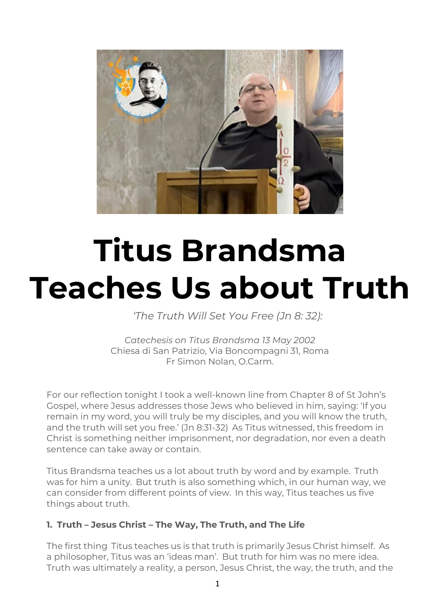

# **Titus Brandsma Teaches Us about Truth**

*'The Truth Will Set You Free (Jn 8: 32):*

*Catechesis on Titus Brandsma 13 May 2002* Chiesa di San Patrizio, Via Boncompagni 31, Roma Fr Simon Nolan, O.Carm.

For our reflection tonight I took a well-known line from Chapter 8 of St John's Gospel, where Jesus addresses those Jews who believed in him, saying: 'If you remain in my word, you will truly be my disciples, and you will know the truth, and the truth will set you free.' (Jn 8:31-32) As Titus witnessed, this freedom in Christ is something neither imprisonment, nor degradation, nor even a death sentence can take away or contain.

Titus Brandsma teaches us a lot about truth by word and by example. Truth was for him a unity. But truth is also something which, in our human way, we can consider from different points of view. In this way, Titus teaches us five things about truth.

## **1. Truth – Jesus Christ – The Way, The Truth, and The Life**

The first thing Titus teaches us is that truth is primarily Jesus Christ himself. As a philosopher, Titus was an 'ideas man'. But truth for him was no mere idea. Truth was ultimately a reality, a person, Jesus Christ, the way, the truth, and the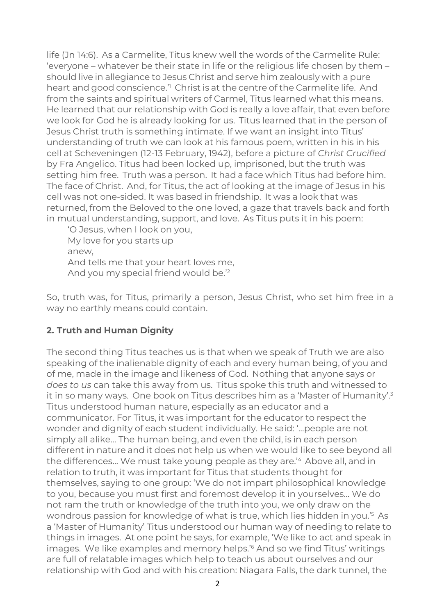life (Jn 14:6). As a Carmelite, Titus knew well the words of the Carmelite Rule: 'everyone – whatever be their state in life or the religious life chosen by them – should live in allegiance to Jesus Christ and serve him zealously with a pure heart and good conscience.<sup>"</sup> Christ is at the centre of the Carmelite life. And from the saints and spiritual writers of Carmel, Titus learned what this means. He learned that our relationship with God is really a love affair, that even before we look for God he is already looking for us. Titus learned that in the person of Jesus Christ truth is something intimate. If we want an insight into Titus' understanding of truth we can look at his famous poem, written in his in his cell at Scheveningen (12-13 February, 1942), before a picture of *Christ Crucified*  by Fra Angelico. Titus had been locked up, imprisoned, but the truth was setting him free. Truth was a person. It had a face which Titus had before him. The face of Christ. And, for Titus, the act of looking at the image of Jesus in his cell was not one-sided. It was based in friendship. It was a look that was returned, from the Beloved to the one loved, a gaze that travels back and forth in mutual understanding, support, and love. As Titus puts it in his poem:

'O Jesus, when I look on you, My love for you starts up anew, And tells me that your heart loves me, And you my special friend would be.'2

So, truth was, for Titus, primarily a person, Jesus Christ, who set him free in a way no earthly means could contain.

## **2. Truth and Human Dignity**

The second thing Titus teaches us is that when we speak of Truth we are also speaking of the inalienable dignity of each and every human being, of you and of me, made in the image and likeness of God. Nothing that anyone says or *does to us* can take this away from us. Titus spoke this truth and witnessed to it in so many ways. One book on Titus describes him as a 'Master of Humanity'.3 Titus understood human nature, especially as an educator and a communicator. For Titus, it was important for the educator to respect the wonder and dignity of each student individually. He said: '…people are not simply all alike… The human being, and even the child, is in each person different in nature and it does not help us when we would like to see beyond all the differences… We must take young people as they are.'4 Above all, and in relation to truth, it was important for Titus that students thought for themselves, saying to one group: 'We do not impart philosophical knowledge to you, because you must first and foremost develop it in yourselves… We do not ram the truth or knowledge of the truth into you, we only draw on the wondrous passion for knowledge of what is true, which lies hidden in you.'5 As a 'Master of Humanity' Titus understood our human way of needing to relate to things in images. At one point he says, for example, 'We like to act and speak in images. We like examples and memory helps.'6 And so we find Titus' writings are full of relatable images which help to teach us about ourselves and our relationship with God and with his creation: Niagara Falls, the dark tunnel, the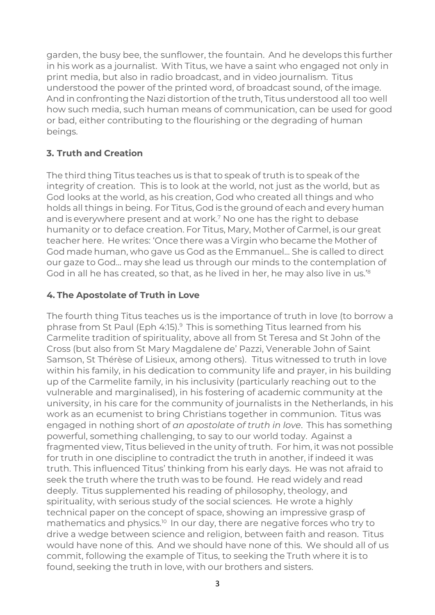garden, the busy bee, the sunflower, the fountain. And he develops this further in his work as a journalist. With Titus, we have a saint who engaged not only in print media, but also in radio broadcast, and in video journalism. Titus understood the power of the printed word, of broadcast sound, of the image. And in confronting the Nazi distortion of the truth, Titus understood all too well how such media, such human means of communication, can be used for good or bad, either contributing to the flourishing or the degrading of human beings.

# **3. Truth and Creation**

The third thing Titus teaches us is that to speak of truth is to speak of the integrity of creation. This is to look at the world, not just as the world, but as God looks at the world, as his creation, God who created all things and who holds all things in being. For Titus, God is the ground of each and every human and is everywhere present and at work.<sup>7</sup> No one has the right to debase humanity or to deface creation. For Titus, Mary, Mother of Carmel, is our great teacher here. He writes: 'Once there was a Virgin who became the Mother of God made human, who gave us God as the Emmanuel... She is called to direct our gaze to God... may she lead us through our minds to the contemplation of God in all he has created, so that, as he lived in her, he may also live in us.'8

# **4. The Apostolate of Truth in Love**

The fourth thing Titus teaches us is the importance of truth in love (to borrow a phrase from St Paul (Eph 4:15).9 This is something Titus learned from his Carmelite tradition of spirituality, above all from St Teresa and St John of the Cross (but also from St Mary Magdalene de' Pazzi, Venerable John of Saint Samson, St Thérèse of Lisieux, among others). Titus witnessed to truth in love within his family, in his dedication to community life and prayer, in his building up of the Carmelite family, in his inclusivity (particularly reaching out to the vulnerable and marginalised), in his fostering of academic community at the university, in his care for the community of journalists in the Netherlands, in his work as an ecumenist to bring Christians together in communion. Titus was engaged in nothing short of *an apostolate of truth in love*. This has something powerful, something challenging, to say to our world today. Against a fragmented view, Titus believed in the unity of truth. For him, it was not possible for truth in one discipline to contradict the truth in another, if indeed it was truth. This influenced Titus' thinking from his early days. He was not afraid to seek the truth where the truth was to be found. He read widely and read deeply. Titus supplemented his reading of philosophy, theology, and spirituality, with serious study of the social sciences. He wrote a highly technical paper on the concept of space, showing an impressive grasp of mathematics and physics.<sup>10</sup> In our day, there are negative forces who try to drive a wedge between science and religion, between faith and reason. Titus would have none of this. And we should have none of this. We should all of us commit, following the example of Titus, to seeking the Truth where it is to found, seeking the truth in love, with our brothers and sisters.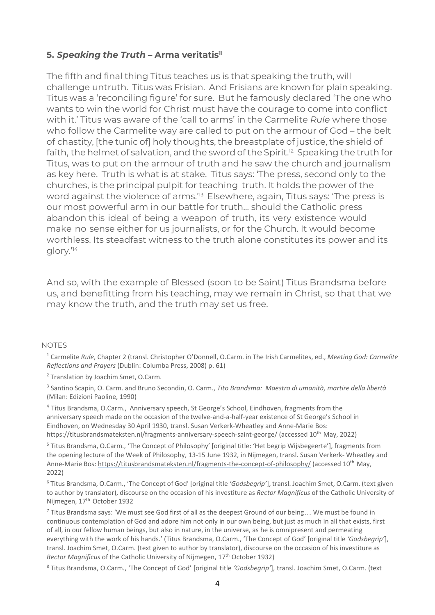#### **5.** *Speaking the Truth –* **Arma veritatis11**

The fifth and final thing Titus teaches us is that speaking the truth, will challenge untruth. Titus was Frisian. And Frisians are known for plain speaking. Titus was a 'reconciling figure' for sure. But he famously declared 'The one who wants to win the world for Christ must have the courage to come into conflict with it.' Titus was aware of the 'call to arms' in the Carmelite *Rule* where those who follow the Carmelite way are called to put on the armour of God – the belt of chastity, [the tunic of] holy thoughts, the breastplate of justice, the shield of faith, the helmet of salvation, and the sword of the Spirit.<sup>12</sup> Speaking the truth for Titus, was to put on the armour of truth and he saw the church and journalism as key here. Truth is what is at stake. Titus says: 'The press, second only to the churches, is the principal pulpit for teaching truth. It holds the power of the word against the violence of arms.<sup>'13</sup> Elsewhere, again, Titus says: 'The press is our most powerful arm in our battle for truth… should the Catholic press abandon this ideal of being a weapon of truth, its very existence would make no sense either for us journalists, or for the Church. It would become worthless. Its steadfast witness to the truth alone constitutes its power and its glory.'14

And so, with the example of Blessed (soon to be Saint) Titus Brandsma before us, and benefitting from his teaching, may we remain in Christ, so that that we may know the truth, and the truth may set us free.

#### NOTES

1 Carmelite *Rule*, Chapter 2 (transl. Christopher O'Donnell, O.Carm. in The Irish Carmelites, ed., *Meeting God: Carmelite Reflections and Prayers* (Dublin: Columba Press, 2008) p. 61)

2 Translation by Joachim Smet, O.Carm.

3 Santino Scapin, O. Carm. and Bruno Secondin, O. Carm., *Tito Brandsma: Maestro di umanità, martire della libertà*  (Milan: Edizioni Paoline, 1990)

4 Titus Brandsma, O.Carm., Anniversary speech, St George's School, Eindhoven, fragments from the anniversary speech made on the occasion of the twelve-and-a-half-year existence of St George's School in Eindhoven, on Wednesday 30 April 1930, transl. Susan Verkerk-Wheatley and Anne-Marie Bos: https://titusbrandsmateksten.nl/fragments-anniversary-speech-saint-george/ (accessed 10th May, 2022)

5 Titus Brandsma, O.Carm., 'The Concept of Philosophy' [original title: 'Het begrip Wijsbegeerte'], fragments from the opening lecture of the Week of Philosophy, 13-15 June 1932, in Nijmegen, transl. Susan Verkerk- Wheatley and Anne-Marie Bos: https://titusbrandsmateksten.nl/fragments-the-concept-of-philosophy/ (accessed 10<sup>th</sup> May, 2022)

6 Titus Brandsma, O.Carm., 'The Concept of God' [original title *'Godsbegrip'*], transl. Joachim Smet, O.Carm. (text given to author by translator), discourse on the occasion of his investiture as *Rector Magnificus* of the Catholic University of Nijmegen, 17<sup>th</sup> October 1932

 $<sup>7</sup>$  Titus Brandsma says: 'We must see God first of all as the deepest Ground of our being... We must be found in</sup> continuous contemplation of God and adore him not only in our own being, but just as much in all that exists, first of all, in our fellow human beings, but also in nature, in the universe, as he is omnipresent and permeating everything with the work of his hands.' (Titus Brandsma, O.Carm., 'The Concept of God' [original title *'Godsbegrip'*], transl. Joachim Smet, O.Carm. (text given to author by translator), discourse on the occasion of his investiture as *Rector Magnificus* of the Catholic University of Nijmegen, 17th October 1932)

8 Titus Brandsma, O.Carm., 'The Concept of God' [original title *'Godsbegrip'*], transl. Joachim Smet, O.Carm. (text